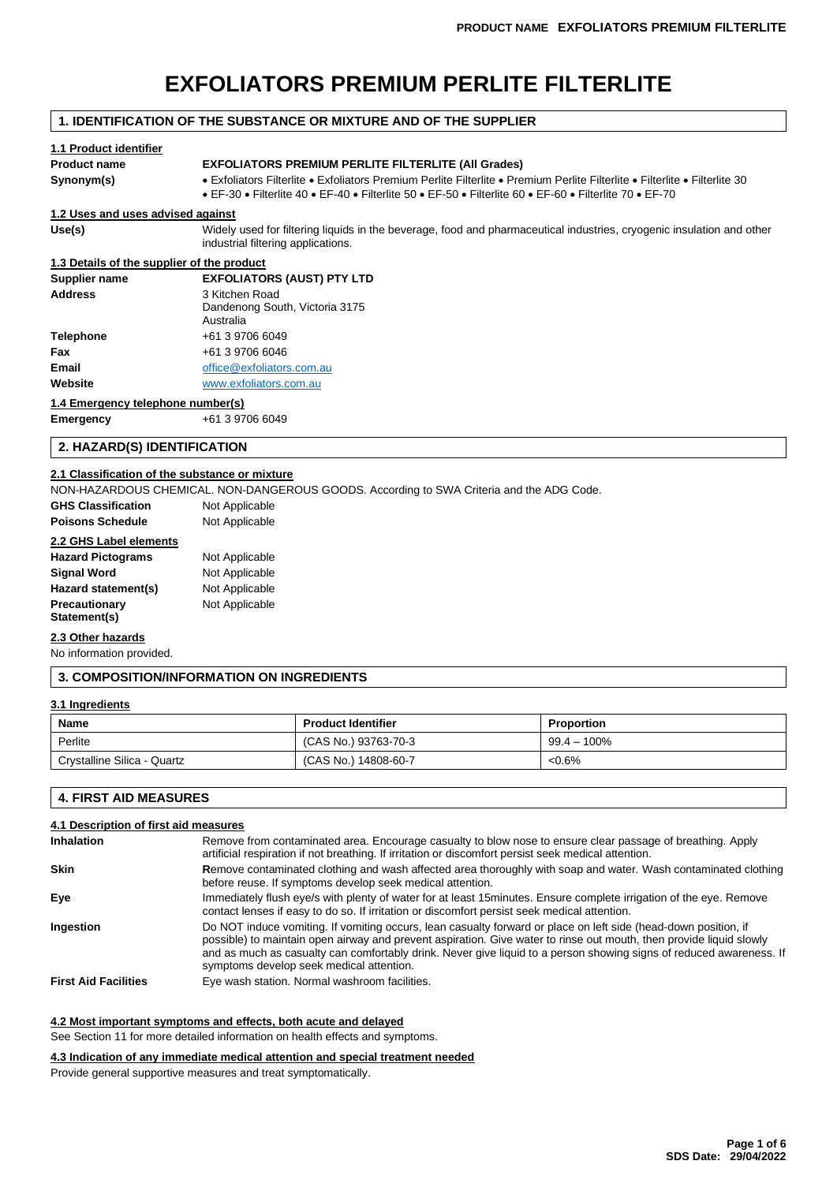# **EXFOLIATORS PREMIUM PERLITE FILTERLITE**

# **1. IDENTIFICATION OF THE SUBSTANCE OR MIXTURE AND OF THE SUPPLIER**

# **1.1 Product identifier Product name EXFOLIATORS PREMIUM PERLITE FILTERLITE (All Grades) Synonym(s)** • Exfoliators Filterlite • Exfoliators Premium Perlite Filterlite • Premium Perlite Filterlite • Filterlite • Filterlite 30 • EF-30 • Filterlite 40 • EF-40 • Filterlite 50 • EF-50 • Filterlite 60 • EF-60 • Filterlite 70 • EF-70 **1.2 Uses and uses advised against Use(s)** Widely used for filtering liquids in the beverage, food and pharmaceutical industries, cryogenic insulation and other industrial filtering applications. **1.3 Details of the supplier of the product Supplier name EXFOLIATORS (AUST) PTY LTD Address** 3 Kitchen Road Dandenong South, Victoria 3175 Australia

| Telephone | +61 3 9706 6049           |
|-----------|---------------------------|
| Fax       | +61 3 9706 6046           |
| Email     | office@exfoliators.com.au |
| Website   | www.exfoliators.com.au    |
|           |                           |

### **1.4 Emergency telephone number(s)**

**Emergency** +61 3 9706 6049

# **2. HAZARD(S) IDENTIFICATION**

# **2.1 Classification of the substance or mixture**

NON-HAZARDOUS CHEMICAL. NON-DANGEROUS GOODS. According to SWA Criteria and the ADG Code.

| <b>GHS Classification</b> | Not Applicable |
|---------------------------|----------------|
| <b>Poisons Schedule</b>   | Not Applicable |

# **2.2 GHS Label elements**

| <b>Hazard Pictograms</b> | Not Applicable |
|--------------------------|----------------|
| Signal Word              | Not Applicable |
| Hazard statement(s)      | Not Applicable |
| Precautionary            | Not Applicable |
| Statement(s)             |                |

# **2.3 Other hazards**

No information provided.

# **3. COMPOSITION/INFORMATION ON INGREDIENTS**

### **3.1 Ingredients**

| Name                        | <b>Product Identifier</b> | <b>Proportion</b> |
|-----------------------------|---------------------------|-------------------|
| Perlite                     | (CAS No.) 93763-70-3      | $99.4 - 100\%$    |
| Crystalline Silica - Quartz | (CAS No.) 14808-60-7      | $<0.6\%$          |

# **4. FIRST AID MEASURES**

# **4.1 Description of first aid measures**

| Inhalation                  | Remove from contaminated area. Encourage casualty to blow nose to ensure clear passage of breathing. Apply<br>artificial respiration if not breathing. If irritation or discomfort persist seek medical attention.                                                                                                                                                                                        |  |
|-----------------------------|-----------------------------------------------------------------------------------------------------------------------------------------------------------------------------------------------------------------------------------------------------------------------------------------------------------------------------------------------------------------------------------------------------------|--|
| <b>Skin</b>                 | Remove contaminated clothing and wash affected area thoroughly with soap and water. Wash contaminated clothing<br>before reuse. If symptoms develop seek medical attention.                                                                                                                                                                                                                               |  |
| Eye                         | Immediately flush eye/s with plenty of water for at least 15minutes. Ensure complete irrigation of the eye. Remove<br>contact lenses if easy to do so. If irritation or discomfort persist seek medical attention.                                                                                                                                                                                        |  |
| Ingestion                   | Do NOT induce vomiting. If vomiting occurs, lean casualty forward or place on left side (head-down position, if<br>possible) to maintain open airway and prevent aspiration. Give water to rinse out mouth, then provide liquid slowly<br>and as much as casualty can comfortably drink. Never give liquid to a person showing signs of reduced awareness. If<br>symptoms develop seek medical attention. |  |
| <b>First Aid Facilities</b> | Eve wash station. Normal washroom facilities.                                                                                                                                                                                                                                                                                                                                                             |  |

### **4.2 Most important symptoms and effects, both acute and delayed**

See Section 11 for more detailed information on health effects and symptoms.

#### **4.3 Indication of any immediate medical attention and special treatment needed**

Provide general supportive measures and treat symptomatically.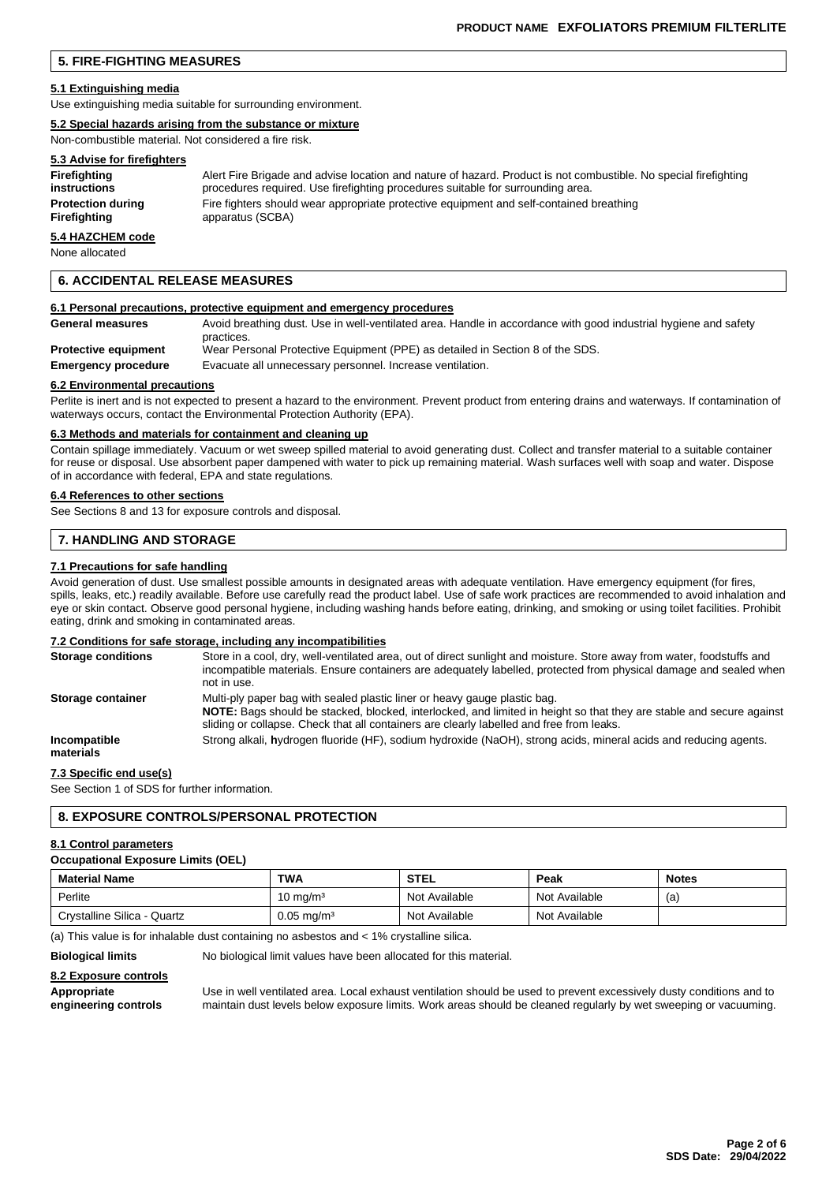# **5. FIRE-FIGHTING MEASURES**

#### **5.1 Extinguishing media**

Use extinguishing media suitable for surrounding environment.

#### **5.2 Special hazards arising from the substance or mixture**

Non-combustible material. Not considered a fire risk.

# **5.3 Advise for firefighters**

| Firefighting             | Alert Fire Brigade and advise location and nature of hazard. Product is not combustible. No special firefighting |
|--------------------------|------------------------------------------------------------------------------------------------------------------|
| instructions             | procedures required. Use firefighting procedures suitable for surrounding area.                                  |
| <b>Protection during</b> | Fire fighters should wear appropriate protective equipment and self-contained breathing                          |
| Firefighting             | apparatus (SCBA)                                                                                                 |

# **5.4 HAZCHEM code**

None allocated

### **6. ACCIDENTAL RELEASE MEASURES**

#### **6.1 Personal precautions, protective equipment and emergency procedures**

| <b>General measures</b>     | Avoid breathing dust. Use in well-ventilated area. Handle in accordance with good industrial hygiene and safety |
|-----------------------------|-----------------------------------------------------------------------------------------------------------------|
| <b>Protective equipment</b> | practices.<br>Wear Personal Protective Equipment (PPE) as detailed in Section 8 of the SDS.                     |
| <b>Emergency procedure</b>  | Evacuate all unnecessary personnel. Increase ventilation.                                                       |

#### **6.2 Environmental precautions**

Perlite is inert and is not expected to present a hazard to the environment. Prevent product from entering drains and waterways. If contamination of waterways occurs, contact the Environmental Protection Authority (EPA).

#### **6.3 Methods and materials for containment and cleaning up**

Contain spillage immediately. Vacuum or wet sweep spilled material to avoid generating dust. Collect and transfer material to a suitable container for reuse or disposal. Use absorbent paper dampened with water to pick up remaining material. Wash surfaces well with soap and water. Dispose of in accordance with federal, EPA and state regulations.

#### **6.4 References to other sections**

See Sections 8 and 13 for exposure controls and disposal.

### **7. HANDLING AND STORAGE**

#### **7.1 Precautions for safe handling**

Avoid generation of dust. Use smallest possible amounts in designated areas with adequate ventilation. Have emergency equipment (for fires, spills, leaks, etc.) readily available. Before use carefully read the product label. Use of safe work practices are recommended to avoid inhalation and eye or skin contact. Observe good personal hygiene, including washing hands before eating, drinking, and smoking or using toilet facilities. Prohibit eating, drink and smoking in contaminated areas.

### **7.2 Conditions for safe storage, including any incompatibilities**

| <b>Storage conditions</b> | Store in a cool, dry, well-ventilated area, out of direct sunlight and moisture. Store away from water, foodstuffs and<br>incompatible materials. Ensure containers are adequately labelled, protected from physical damage and sealed when<br>not in use.                                    |
|---------------------------|-----------------------------------------------------------------------------------------------------------------------------------------------------------------------------------------------------------------------------------------------------------------------------------------------|
| Storage container         | Multi-ply paper bag with sealed plastic liner or heavy gauge plastic bag.<br>NOTE: Bags should be stacked, blocked, interlocked, and limited in height so that they are stable and secure against<br>sliding or collapse. Check that all containers are clearly labelled and free from leaks. |
| Incompatible<br>materials | Strong alkali, hydrogen fluoride (HF), sodium hydroxide (NaOH), strong acids, mineral acids and reducing agents.                                                                                                                                                                              |

### **7.3 Specific end use(s)**

See Section 1 of SDS for further information.

# **8. EXPOSURE CONTROLS/PERSONAL PROTECTION**

#### **8.1 Control parameters**

#### **Occupational Exposure Limits (OEL)**

| <b>Material Name</b>        | <b>TWA</b>            | <b>STEL</b>   | Peak          | <b>Notes</b> |
|-----------------------------|-----------------------|---------------|---------------|--------------|
| Perlite                     | 10 mg/mª              | Not Available | Not Available | (a)          |
| Crystalline Silica - Quartz | $0.05 \text{ mg/m}^3$ | Not Available | Not Available |              |

(a) This value is for inhalable dust containing no asbestos and < 1% crystalline silica.

**Biological limits** No biological limit values have been allocated for this material.

### **8.2 Exposure controls**

Appropriate **Inter and the Use in well ventilated area.** Local exhaust ventilation should be used to prevent excessively dusty conditions and to engineering controls maintain dust levels below exposure limits. Work areas s **engineering controls** maintain dust levels below exposure limits. Work areas should be cleaned regularly by wet sweeping or vacuuming.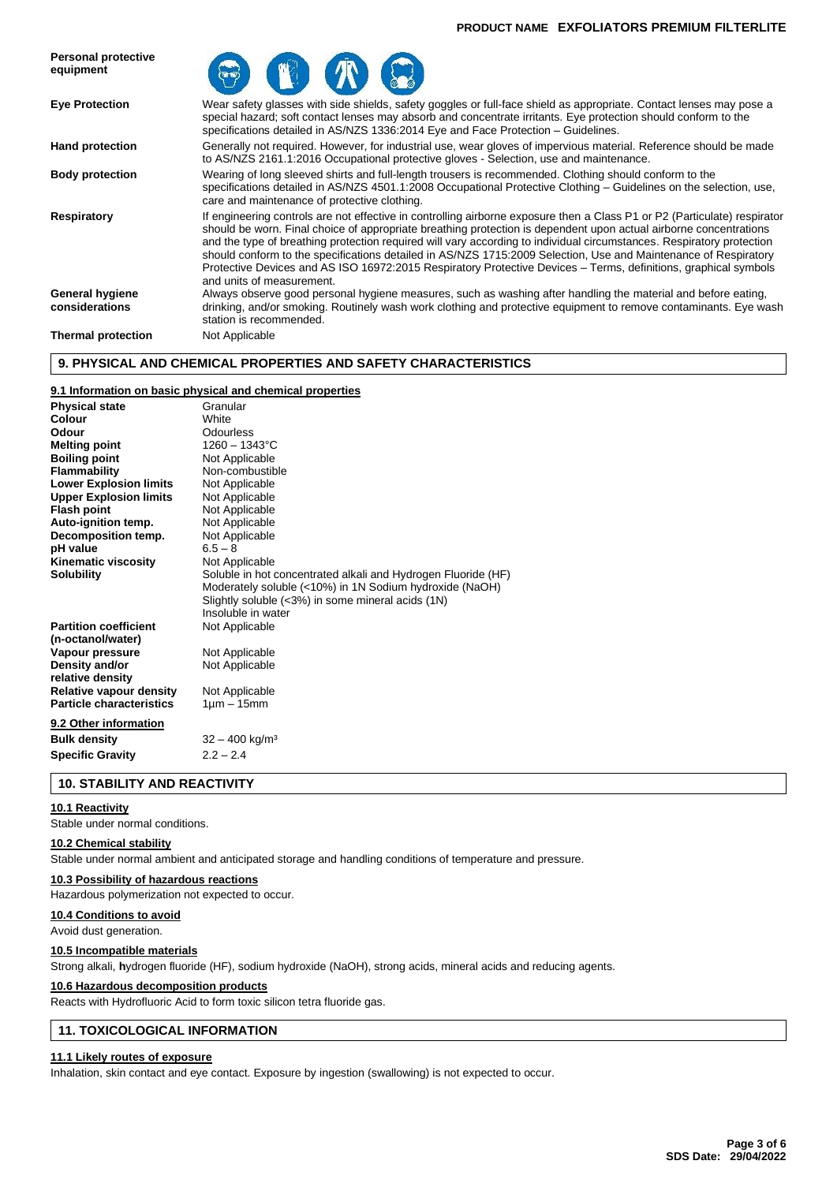### **PRODUCT NAME EXFOLIATORS PREMIUM FILTERLITE**



# **9. PHYSICAL AND CHEMICAL PROPERTIES AND SAFETY CHARACTERISTICS**

# **9.1 Information on basic physical and chemical properties**

| <b>Physical state</b>           | Granular                                                      |
|---------------------------------|---------------------------------------------------------------|
| Colour                          | White                                                         |
| Odour                           | Odourless                                                     |
| <b>Melting point</b>            | $1260 - 1343$ °C                                              |
| <b>Boiling point</b>            | Not Applicable                                                |
| <b>Flammability</b>             | Non-combustible                                               |
| <b>Lower Explosion limits</b>   | Not Applicable                                                |
| <b>Upper Explosion limits</b>   | Not Applicable                                                |
| <b>Flash point</b>              | Not Applicable                                                |
| Auto-ignition temp.             | Not Applicable                                                |
| Decomposition temp.             | Not Applicable                                                |
| pH value                        | $6.5 - 8$                                                     |
| Kinematic viscosity             | Not Applicable                                                |
| <b>Solubility</b>               | Soluble in hot concentrated alkali and Hydrogen Fluoride (HF) |
|                                 | Moderately soluble (<10%) in 1N Sodium hydroxide (NaOH)       |
|                                 | Slightly soluble (<3%) in some mineral acids (1N)             |
|                                 | Insoluble in water                                            |
| <b>Partition coefficient</b>    | Not Applicable                                                |
| (n-octanol/water)               |                                                               |
| Vapour pressure                 | Not Applicable                                                |
| Density and/or                  | Not Applicable                                                |
| relative density                |                                                               |
| <b>Relative vapour density</b>  | Not Applicable                                                |
| <b>Particle characteristics</b> | $1 \mu m - 15 mm$                                             |
| 9.2 Other information           |                                                               |
| <b>Bulk density</b>             | $32 - 400$ kg/m <sup>3</sup>                                  |
| <b>Specific Gravity</b>         | $2.2 - 2.4$                                                   |
|                                 |                                                               |

**10. STABILITY AND REACTIVITY**

#### **10.1 Reactivity**

Stable under normal conditions.

#### **10.2 Chemical stability**

Stable under normal ambient and anticipated storage and handling conditions of temperature and pressure.

#### **10.3 Possibility of hazardous reactions**

Hazardous polymerization not expected to occur.

### **10.4 Conditions to avoid**

Avoid dust generation.

#### **10.5 Incompatible materials**

Strong alkali, **h**ydrogen fluoride (HF), sodium hydroxide (NaOH), strong acids, mineral acids and reducing agents.

#### **10.6 Hazardous decomposition products**

Reacts with Hydrofluoric Acid to form toxic silicon tetra fluoride gas.

# **11. TOXICOLOGICAL INFORMATION**

### **11.1 Likely routes of exposure**

Inhalation, skin contact and eye contact. Exposure by ingestion (swallowing) is not expected to occur.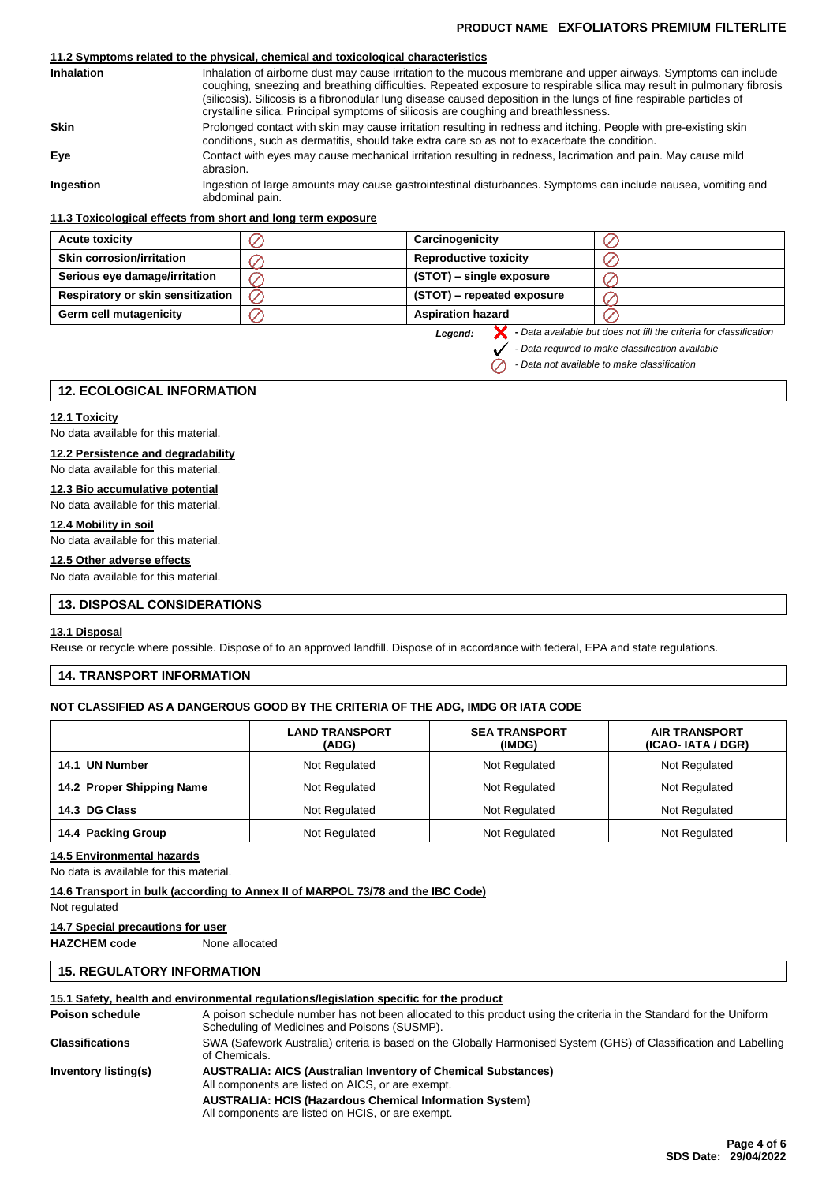# **PRODUCT NAME EXFOLIATORS PREMIUM FILTERLITE**

# **11.2 Symptoms related to the physical, chemical and toxicological characteristics**

| <b>Inhalation</b> | Inhalation of airborne dust may cause irritation to the mucous membrane and upper airways. Symptoms can include<br>coughing, sneezing and breathing difficulties. Repeated exposure to respirable silica may result in pulmonary fibrosis<br>(silicosis). Silicosis is a fibronodular lung disease caused deposition in the lungs of fine respirable particles of<br>crystalline silica. Principal symptoms of silicosis are coughing and breathlessness. |
|-------------------|-----------------------------------------------------------------------------------------------------------------------------------------------------------------------------------------------------------------------------------------------------------------------------------------------------------------------------------------------------------------------------------------------------------------------------------------------------------|
| <b>Skin</b>       | Prolonged contact with skin may cause irritation resulting in redness and itching. People with pre-existing skin<br>conditions, such as dermatitis, should take extra care so as not to exacerbate the condition.                                                                                                                                                                                                                                         |
| Eve               | Contact with eyes may cause mechanical irritation resulting in redness, lacrimation and pain. May cause mild<br>abrasion.                                                                                                                                                                                                                                                                                                                                 |
| Ingestion         | Ingestion of large amounts may cause gastrointestinal disturbances. Symptoms can include nausea, vomiting and<br>abdominal pain.                                                                                                                                                                                                                                                                                                                          |

### **11.3 Toxicological effects from short and long term exposure**

| <b>Acute toxicity</b>                    | Carcinogenicity              |                                                                    |
|------------------------------------------|------------------------------|--------------------------------------------------------------------|
| <b>Skin corrosion/irritation</b>         | <b>Reproductive toxicity</b> |                                                                    |
| Serious eye damage/irritation            | (STOT) – single exposure     |                                                                    |
| <b>Respiratory or skin sensitization</b> | (STOT) – repeated exposure   |                                                                    |
| Germ cell mutagenicity                   | <b>Aspiration hazard</b>     |                                                                    |
|                                          | Legend:                      | - Data available but does not fill the criteria for classification |

*Legend:*

 $\oslash$ 

*- Data required to make classification available*

*- Data not available to make classification*

### **12. ECOLOGICAL INFORMATION**

### **12.1 Toxicity**

No data available for this material.

# **12.2 Persistence and degradability**

No data available for this material.

# **12.3 Bio accumulative potential**

No data available for this material.

# **12.4 Mobility in soil**

No data available for this material.

# **12.5 Other adverse effects**

No data available for this material.

# **13. DISPOSAL CONSIDERATIONS**

### **13.1 Disposal**

Reuse or recycle where possible. Dispose of to an approved landfill. Dispose of in accordance with federal, EPA and state regulations.

# **14. TRANSPORT INFORMATION**

# **NOT CLASSIFIED AS A DANGEROUS GOOD BY THE CRITERIA OF THE ADG, IMDG OR IATA CODE**

|                           | <b>LAND TRANSPORT</b><br>(ADG) | <b>SEA TRANSPORT</b><br>(IMDG) | <b>AIR TRANSPORT</b><br>(ICAO-IATA / DGR) |  |
|---------------------------|--------------------------------|--------------------------------|-------------------------------------------|--|
| <b>UN Number</b><br>14.1  | Not Regulated                  | Not Regulated                  | Not Regulated                             |  |
| 14.2 Proper Shipping Name | Not Regulated<br>Not Regulated |                                | Not Regulated                             |  |
| 14.3 DG Class             | Not Regulated                  | Not Regulated                  | Not Regulated                             |  |
| 14.4 Packing Group        | Not Regulated                  | Not Regulated                  | Not Regulated                             |  |

#### **14.5 Environmental hazards**

No data is available for this material.

### **14.6 Transport in bulk (according to Annex II of MARPOL 73/78 and the IBC Code)**

Not regulated

#### **14.7 Special precautions for user**

**HAZCHEM code** None allocated

# **15. REGULATORY INFORMATION**

# **15.1 Safety, health and environmental regulations/legislation specific for the product**

| Poison schedule        | A poison schedule number has not been allocated to this product using the criteria in the Standard for the Uniform<br>Scheduling of Medicines and Poisons (SUSMP). |
|------------------------|--------------------------------------------------------------------------------------------------------------------------------------------------------------------|
| <b>Classifications</b> | SWA (Safework Australia) criteria is based on the Globally Harmonised System (GHS) of Classification and Labelling<br>of Chemicals.                                |
| Inventory listing(s)   | <b>AUSTRALIA: AICS (Australian Inventory of Chemical Substances)</b><br>All components are listed on AICS, or are exempt.                                          |
|                        | <b>AUSTRALIA: HCIS (Hazardous Chemical Information System)</b><br>All components are listed on HCIS, or are exempt.                                                |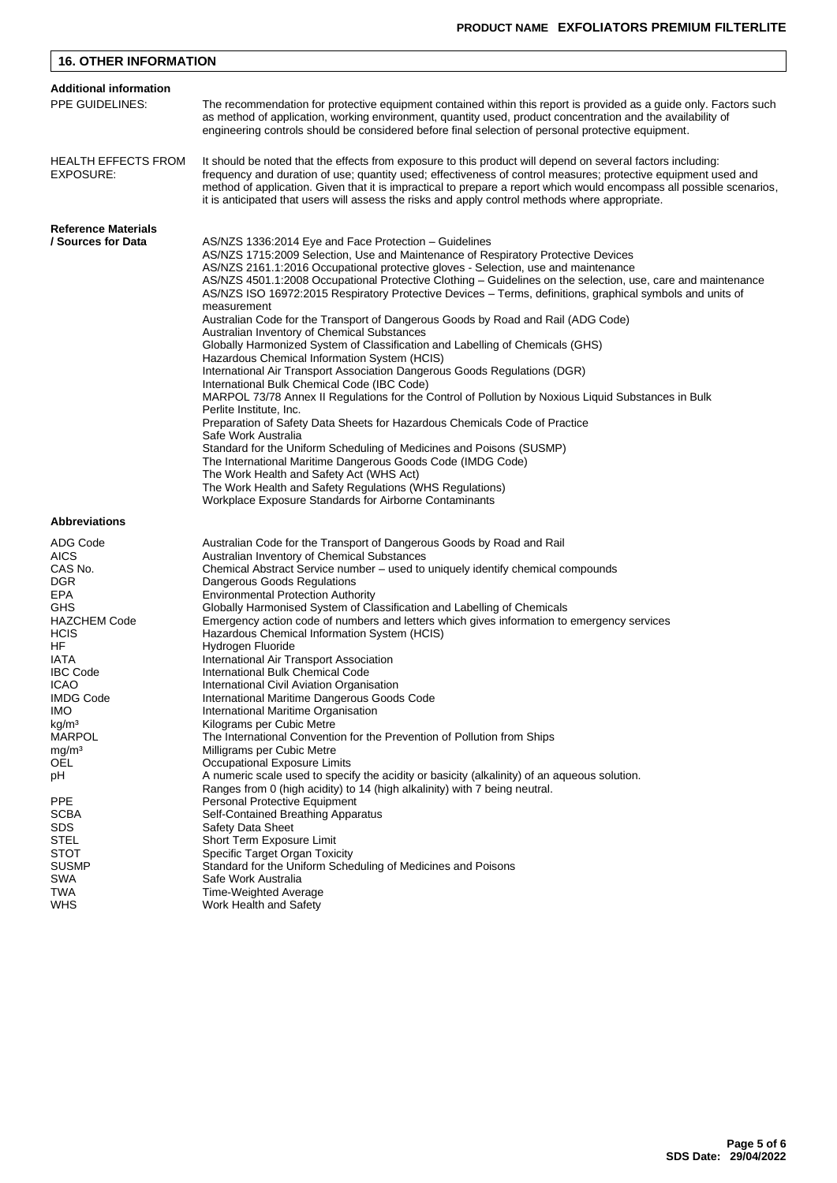| <b>16. OTHER INFORMATION</b>                                                                                                                                                                                                                                     |                                                                                                                                                                                                                                                                                                                                                                                                                                                                                                                                                                                                                                                                                                                                                                                                                                                                                                                                                                                                                                                                                                                                                                                                                                                                                                                                                                                                                              |  |  |  |  |
|------------------------------------------------------------------------------------------------------------------------------------------------------------------------------------------------------------------------------------------------------------------|------------------------------------------------------------------------------------------------------------------------------------------------------------------------------------------------------------------------------------------------------------------------------------------------------------------------------------------------------------------------------------------------------------------------------------------------------------------------------------------------------------------------------------------------------------------------------------------------------------------------------------------------------------------------------------------------------------------------------------------------------------------------------------------------------------------------------------------------------------------------------------------------------------------------------------------------------------------------------------------------------------------------------------------------------------------------------------------------------------------------------------------------------------------------------------------------------------------------------------------------------------------------------------------------------------------------------------------------------------------------------------------------------------------------------|--|--|--|--|
| <b>Additional information</b><br>PPE GUIDELINES:                                                                                                                                                                                                                 | The recommendation for protective equipment contained within this report is provided as a guide only. Factors such<br>as method of application, working environment, quantity used, product concentration and the availability of<br>engineering controls should be considered before final selection of personal protective equipment.                                                                                                                                                                                                                                                                                                                                                                                                                                                                                                                                                                                                                                                                                                                                                                                                                                                                                                                                                                                                                                                                                      |  |  |  |  |
| <b>HEALTH EFFECTS FROM</b><br>EXPOSURE:                                                                                                                                                                                                                          | It should be noted that the effects from exposure to this product will depend on several factors including:<br>frequency and duration of use; quantity used; effectiveness of control measures; protective equipment used and<br>method of application. Given that it is impractical to prepare a report which would encompass all possible scenarios,<br>it is anticipated that users will assess the risks and apply control methods where appropriate.                                                                                                                                                                                                                                                                                                                                                                                                                                                                                                                                                                                                                                                                                                                                                                                                                                                                                                                                                                    |  |  |  |  |
| <b>Reference Materials</b><br>/ Sources for Data                                                                                                                                                                                                                 | AS/NZS 1336:2014 Eye and Face Protection - Guidelines<br>AS/NZS 1715:2009 Selection, Use and Maintenance of Respiratory Protective Devices<br>AS/NZS 2161.1:2016 Occupational protective gloves - Selection, use and maintenance<br>AS/NZS 4501.1:2008 Occupational Protective Clothing - Guidelines on the selection, use, care and maintenance<br>AS/NZS ISO 16972:2015 Respiratory Protective Devices - Terms, definitions, graphical symbols and units of<br>measurement<br>Australian Code for the Transport of Dangerous Goods by Road and Rail (ADG Code)<br>Australian Inventory of Chemical Substances<br>Globally Harmonized System of Classification and Labelling of Chemicals (GHS)<br>Hazardous Chemical Information System (HCIS)<br>International Air Transport Association Dangerous Goods Regulations (DGR)<br>International Bulk Chemical Code (IBC Code)<br>MARPOL 73/78 Annex II Regulations for the Control of Pollution by Noxious Liquid Substances in Bulk<br>Perlite Institute, Inc.<br>Preparation of Safety Data Sheets for Hazardous Chemicals Code of Practice<br>Safe Work Australia<br>Standard for the Uniform Scheduling of Medicines and Poisons (SUSMP)<br>The International Maritime Dangerous Goods Code (IMDG Code)<br>The Work Health and Safety Act (WHS Act)<br>The Work Health and Safety Regulations (WHS Regulations)<br>Workplace Exposure Standards for Airborne Contaminants |  |  |  |  |
| <b>Abbreviations</b>                                                                                                                                                                                                                                             |                                                                                                                                                                                                                                                                                                                                                                                                                                                                                                                                                                                                                                                                                                                                                                                                                                                                                                                                                                                                                                                                                                                                                                                                                                                                                                                                                                                                                              |  |  |  |  |
| ADG Code<br><b>AICS</b><br>CAS No.<br><b>DGR</b><br>EPA<br><b>GHS</b><br><b>HAZCHEM Code</b><br><b>HCIS</b><br>HF<br>IATA<br><b>IBC Code</b><br><b>ICAO</b><br><b>IMDG Code</b><br>IMO.<br>kg/m <sup>3</sup><br><b>MARPOL</b><br>mg/m <sup>3</sup><br>OEL.<br>рH | Australian Code for the Transport of Dangerous Goods by Road and Rail<br>Australian Inventory of Chemical Substances<br>Chemical Abstract Service number - used to uniquely identify chemical compounds<br>Dangerous Goods Regulations<br><b>Environmental Protection Authority</b><br>Globally Harmonised System of Classification and Labelling of Chemicals<br>Emergency action code of numbers and letters which gives information to emergency services<br>Hazardous Chemical Information System (HCIS)<br>Hydrogen Fluoride<br>International Air Transport Association<br>International Bulk Chemical Code<br>International Civil Aviation Organisation<br>International Maritime Dangerous Goods Code<br>International Maritime Organisation<br>Kilograms per Cubic Metre<br>The International Convention for the Prevention of Pollution from Ships<br>Milligrams per Cubic Metre<br>Occupational Exposure Limits<br>A numeric scale used to specify the acidity or basicity (alkalinity) of an aqueous solution.                                                                                                                                                                                                                                                                                                                                                                                                    |  |  |  |  |
| <b>PPE</b><br><b>SCBA</b><br><b>SDS</b><br><b>STEL</b><br><b>STOT</b><br><b>SUSMP</b><br><b>SWA</b><br>TWA<br><b>WHS</b>                                                                                                                                         | Ranges from 0 (high acidity) to 14 (high alkalinity) with 7 being neutral.<br><b>Personal Protective Equipment</b><br>Self-Contained Breathing Apparatus<br><b>Safety Data Sheet</b><br>Short Term Exposure Limit<br>Specific Target Organ Toxicity<br>Standard for the Uniform Scheduling of Medicines and Poisons<br>Safe Work Australia<br>Time-Weighted Average<br>Work Health and Safety                                                                                                                                                                                                                                                                                                                                                                                                                                                                                                                                                                                                                                                                                                                                                                                                                                                                                                                                                                                                                                |  |  |  |  |